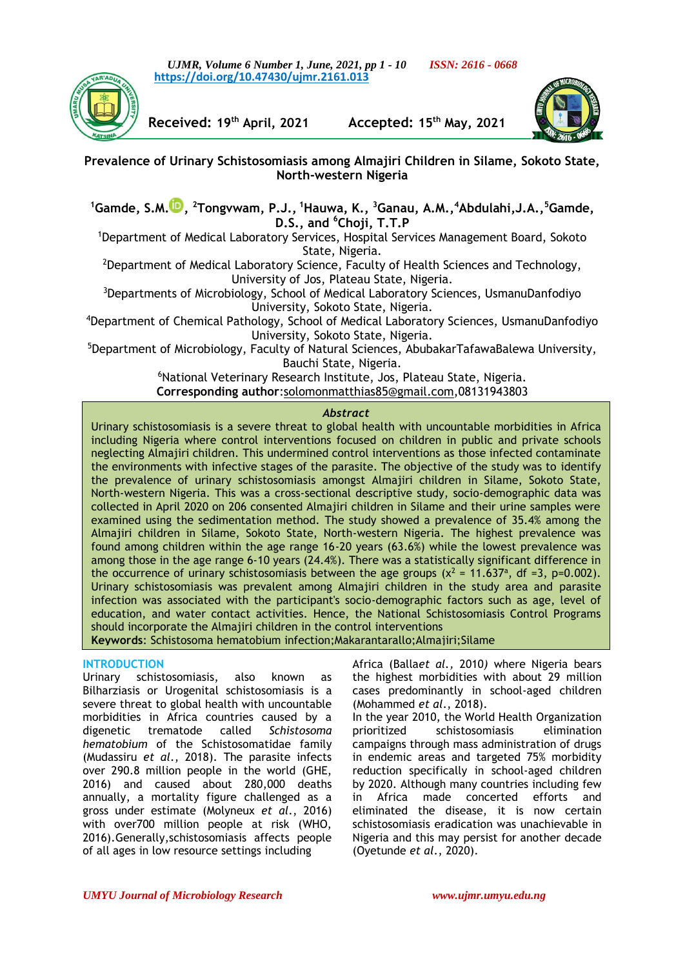*UJMR, Volume 6 Number 1, June, 2021, pp 1 - 10 ISSN: 2616 - 0668* **[https://doi.org/10.47430/ujmr.2161.013](https://doi.org/10.47430/ujmr.2052.001)**



**Received: 19th April, 2021 Accepted: 15th May, 2021**



**Prevalence of Urinary Schistosomiasis among Almajiri Children in Silame, Sokoto State, North-western Nigeria**

**<sup>1</sup>Gamde, S.M[.](https://orcid.org/0000-0002-7631-8782) , <sup>2</sup>Tongvwam, P.J., <sup>1</sup>Hauwa, K., <sup>3</sup>Ganau, A.M.,<sup>4</sup>Abdulahi,J.A.,<sup>5</sup>Gamde, D.S., and <sup>6</sup>Choji, T.T.P**

<sup>1</sup>Department of Medical Laboratory Services, Hospital Services Management Board, Sokoto State, Nigeria.

<sup>2</sup>Department of Medical Laboratory Science, Faculty of Health Sciences and Technology, University of Jos, Plateau State, Nigeria.

<sup>3</sup>Departments of Microbiology, School of Medical Laboratory Sciences, UsmanuDanfodiyo University, Sokoto State, Nigeria.

<sup>4</sup>Department of Chemical Pathology, School of Medical Laboratory Sciences, UsmanuDanfodiyo University, Sokoto State, Nigeria.

<sup>5</sup>Department of Microbiology, Faculty of Natural Sciences, AbubakarTafawaBalewa University, Bauchi State, Nigeria.

> <sup>6</sup>National Veterinary Research Institute, Jos, Plateau State, Nigeria. **Corresponding author**[:solomonmatthias85@gmail.com,](mailto:solomonmatthias85@gmail.com)08131943803

# *Abstract*

Urinary schistosomiasis is a severe threat to global health with uncountable morbidities in Africa including Nigeria where control interventions focused on children in public and private schools neglecting Almajiri children. This undermined control interventions as those infected contaminate the environments with infective stages of the parasite. The objective of the study was to identify the prevalence of urinary schistosomiasis amongst Almajiri children in Silame, Sokoto State, North-western Nigeria. This was a cross-sectional descriptive study, socio-demographic data was collected in April 2020 on 206 consented Almajiri children in Silame and their urine samples were examined using the sedimentation method. The study showed a prevalence of 35.4% among the Almajiri children in Silame, Sokoto State, North-western Nigeria. The highest prevalence was found among children within the age range 16-20 years (63.6%) while the lowest prevalence was among those in the age range 6-10 years (24.4%). There was a statistically significant difference in the occurrence of urinary schistosomiasis between the age groups ( $x^2 = 11.637^{\circ}$ , df =3, p=0.002). Urinary schistosomiasis was prevalent among Almajiri children in the study area and parasite infection was associated with the participant's socio-demographic factors such as age, level of education, and water contact activities. Hence, the National Schistosomiasis Control Programs should incorporate the Almajiri children in the control interventions

**Keywords**: Schistosoma hematobium infection;Makarantarallo;Almajiri;Silame

# **INTRODUCTION**

Urinary schistosomiasis, also known as Bilharziasis or Urogenital schistosomiasis is a severe threat to global health with uncountable morbidities in Africa countries caused by a digenetic trematode called *Schistosoma hematobium* of the Schistosomatidae family (Mudassiru *et al*., 2018). The parasite infects over 290.8 million people in the world (GHE, 2016) and caused about 280,000 deaths annually, a mortality figure challenged as a gross under estimate (Molyneux *et al*., 2016) with over700 million people at risk (WHO, 2016).Generally,schistosomiasis affects people of all ages in low resource settings including

Africa (Balla*et al.,* 2010*)* where Nigeria bears the highest morbidities with about 29 million cases predominantly in school-aged children (Mohammed *et al*., 2018).

In the year 2010, the World Health Organization<br>prioritized schistosomiasis elimination schistosomiasis elimination campaigns through mass administration of drugs in endemic areas and targeted 75% morbidity reduction specifically in school-aged children by 2020. Although many countries including few in Africa made concerted efforts and eliminated the disease, it is now certain schistosomiasis eradication was unachievable in Nigeria and this may persist for another decade (Oyetunde *et al*., 2020).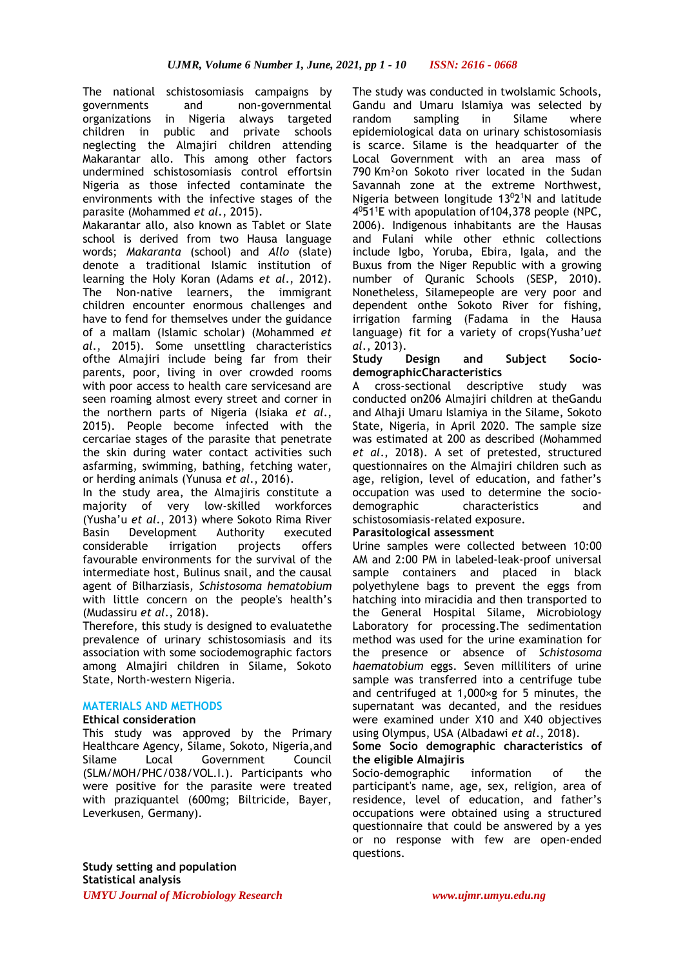The national schistosomiasis campaigns by governments and non-governmental organizations in Nigeria always targeted children in public and private schools neglecting the Almajiri children attending Makarantar allo. This among other factors undermined schistosomiasis control effortsin Nigeria as those infected contaminate the environments with the infective stages of the parasite (Mohammed *et al*., 2015).

Makarantar allo, also known as Tablet or Slate school is derived from two Hausa language words; *Makaranta* (school) and *Allo* (slate) denote a traditional Islamic institution of learning the Holy Koran (Adams *et al*., 2012). The Non-native learners, the immigrant children encounter enormous challenges and have to fend for themselves under the guidance of a mallam (Islamic scholar) (Mohammed *et al*., 2015). Some unsettling characteristics ofthe Almajiri include being far from their parents, poor, living in over crowded rooms with poor access to health care servicesand are seen roaming almost every street and corner in the northern parts of Nigeria (Isiaka *et al*., 2015). People become infected with the cercariae stages of the parasite that penetrate the skin during water contact activities such asfarming, swimming, bathing, fetching water, or herding animals (Yunusa *et al*., 2016).

In the study area, the Almajiris constitute a majority of very low-skilled workforces (Yusha'u *et al*., 2013) where Sokoto Rima River Basin Development Authority executed considerable irrigation projects offers favourable environments for the survival of the intermediate host, Bulinus snail, and the causal agent of Bilharziasis, *Schistosoma hematobium* with little concern on the people's health's (Mudassiru *et al*., 2018).

Therefore, this study is designed to evaluatethe prevalence of urinary schistosomiasis and its association with some sociodemographic factors among Almajiri children in Silame, Sokoto State, North-western Nigeria.

# **MATERIALS AND METHODS**

# **Ethical consideration**

This study was approved by the Primary Healthcare Agency, Silame, Sokoto, [Nigeria,](https://en.wikipedia.org/wiki/Nigeria)and Silame Local Government Council (SLM/MOH/PHC/038/VOL.I.). Participants who were positive for the parasite were treated with praziquantel (600mg; Biltricide, Bayer, Leverkusen, Germany).

The study was conducted in twoIslamic Schools, Gandu and Umaru Islamiya was selected by random sampling in Silame where epidemiological data on urinary schistosomiasis is scarce. Silame is the headquarter of the Local Government with an area mass of 790 Km²on Sokoto river located in the Sudan Savannah zone at the extreme Northwest, Nigeria between longitude 13<sup>0</sup>2<sup>1</sup>N and latitude 4 <sup>0</sup>51<sup>1</sup>E with apopulation of104,378 people (NPC, 2006). Indigenous inhabitants are the Hausas and Fulani while other ethnic collections include Igbo, Yoruba, Ebira, Igala, and the Buxus from the Niger Republic with a growing number of Quranic Schools (SESP, 2010). Nonetheless, Silamepeople are very poor and dependent onthe Sokoto River for fishing, irrigation farming (Fadama in the Hausa language) fit for a variety of crops(Yusha'u*et al*., 2013).

### **Study Design and Subject SociodemographicCharacteristics**

A cross-sectional descriptive study was conducted on206 Almajiri children at theGandu and Alhaji Umaru Islamiya in the Silame, Sokoto State, Nigeria, in April 2020. The sample size was estimated at 200 as described (Mohammed *et al*., 2018). A set of pretested, structured questionnaires on the Almajiri children such as age, religion, level of education, and father's occupation was used to determine the sociodemographic characteristics and schistosomiasis-related exposure.

# **Parasitological assessment**

Urine samples were collected between 10:00 AM and 2:00 PM in labeled-leak-proof universal sample containers and placed in black polyethylene bags to prevent the eggs from hatching into miracidia and then transported to the General Hospital Silame, Microbiology Laboratory for processing.The sedimentation method was used for the urine examination for the presence or absence of *Schistosoma haematobium* eggs. Seven milliliters of urine sample was transferred into a centrifuge tube and centrifuged at 1,000×g for 5 minutes, the supernatant was decanted, and the residues were examined under X10 and X40 objectives using Olympus, USA (Albadawi *et al*., 2018).

#### **Some Socio demographic characteristics of the eligible Almajiris**

Socio-demographic information of the participant's name, age, sex, religion, area of residence, level of education, and father's occupations were obtained using a structured questionnaire that could be answered by a yes or no response with few are open-ended questions.

*UMYU Journal of Microbiology Research www.ujmr.umyu.edu.ng* **Study setting and population Statistical analysis**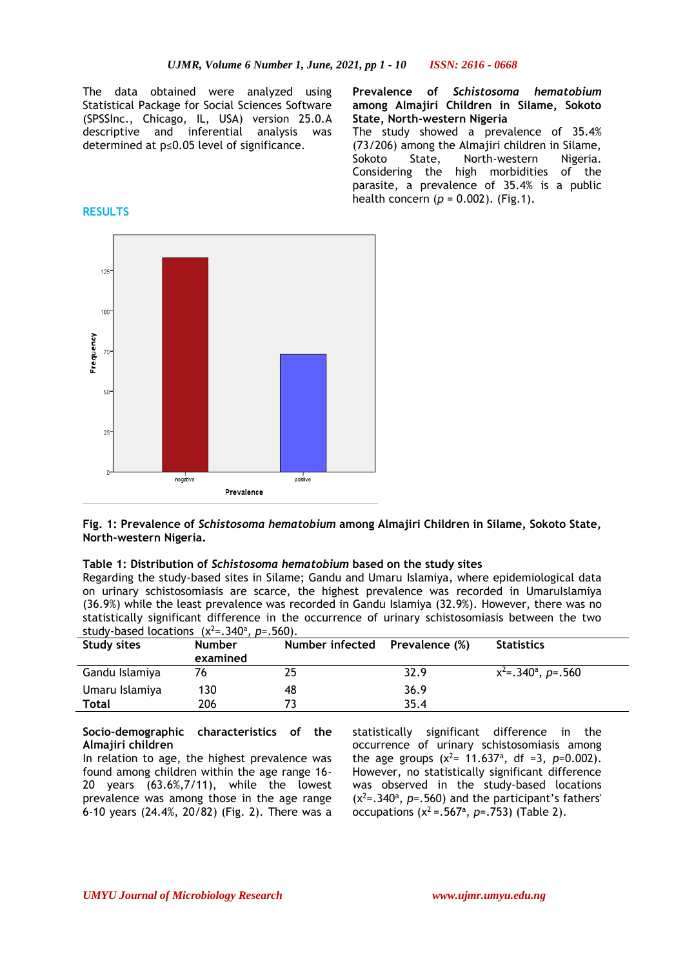The data obtained were analyzed using Statistical Package for Social Sciences Software (SPSSInc., Chicago, IL, USA) version 25.0.A descriptive and inferential analysis was determined at p≤0.05 level of significance.

**Prevalence of** *Schistosoma hematobium* **among Almajiri Children in Silame, Sokoto State, North-western Nigeria** The study showed a prevalence of 35.4% (73/206) among the Almajiri children in Silame, Sokoto State, North-western Nigeria. Considering the high morbidities of the parasite, a prevalence of 35.4% is a public health concern (*p* = 0.002). (Fig.1).



**Fig. 1: Prevalence of** *Schistosoma hematobium* **among Almajiri Children in Silame, Sokoto State, North-western Nigeria.**

#### **Table 1: Distribution of** *Schistosoma hematobium* **based on the study sites**

Regarding the study-based sites in Silame; Gandu and Umaru Islamiya, where epidemiological data on urinary schistosomiasis are scarce, the highest prevalence was recorded in UmaruIslamiya (36.9%) while the least prevalence was recorded in Gandu Islamiya (32.9%). However, there was no statistically significant difference in the occurrence of urinary schistosomiasis between the two study-based locations  $(x^2=0.340^a, p=.560)$ .

| <b>Study sites</b> | <b>Number</b><br>examined | Number infected | Prevalence (%) | <b>Statistics</b>                         |
|--------------------|---------------------------|-----------------|----------------|-------------------------------------------|
| Gandu Islamiya     | 76                        |                 | 32.9           | $x^2$ =.340 <sup>a</sup> , <i>p</i> =.560 |
| Umaru Islamiya     | 130                       | 48              | 36.9           |                                           |
| Total              | 206                       |                 | 35.4           |                                           |

#### **Socio-demographic characteristics of the Almajiri children**

In relation to age, the highest prevalence was found among children within the age range 16- 20 years (63.6%,7/11), while the lowest prevalence was among those in the age range 6-10 years (24.4%, 20/82) (Fig. 2). There was a statistically significant difference in the occurrence of urinary schistosomiasis among the age groups  $(x^2 = 11.637^{\circ})$ , df =3, p=0.002). However, no statistically significant difference was observed in the study-based locations  $(x^2= .340^{\circ}, p = .560)$  and the participant's fathers' occupations  $(x^2 = .567^a, p = .753)$  (Table 2).

#### **RESULTS**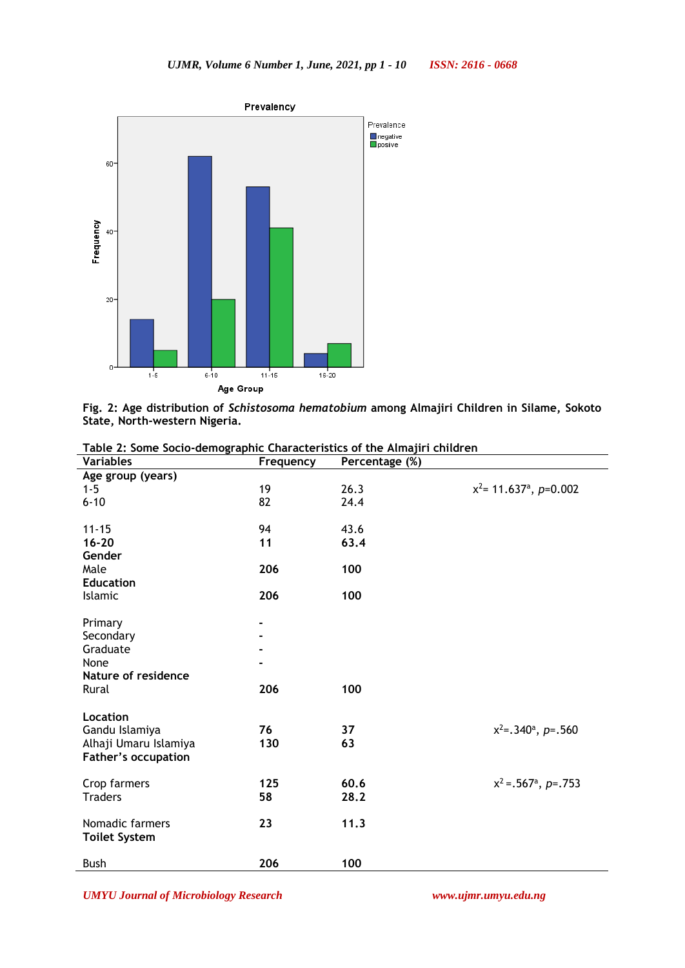

**Fig. 2: Age distribution of** *Schistosoma hematobium* **among Almajiri Children in Silame, Sokoto State, North-western Nigeria.**

| <b>Variables</b>                                    | Frequency | Percentage (%) |                                       |
|-----------------------------------------------------|-----------|----------------|---------------------------------------|
| Age group (years)                                   |           |                |                                       |
| $1 - 5$                                             | 19        | 26.3           | $x^2$ = 11.637 <sup>a</sup> , p=0.002 |
| $6 - 10$                                            | 82        | 24.4           |                                       |
|                                                     |           |                |                                       |
| $11 - 15$                                           | 94        | 43.6           |                                       |
| $16 - 20$                                           | 11        | 63.4           |                                       |
| Gender                                              |           |                |                                       |
| Male                                                | 206       | 100            |                                       |
| <b>Education</b>                                    |           |                |                                       |
| Islamic                                             | 206       | 100            |                                       |
|                                                     |           |                |                                       |
| Primary                                             |           |                |                                       |
| Secondary                                           |           |                |                                       |
| Graduate                                            |           |                |                                       |
| None                                                |           |                |                                       |
| Nature of residence                                 |           |                |                                       |
| Rural                                               | 206       | 100            |                                       |
| Location                                            |           |                |                                       |
|                                                     | 76        | 37             |                                       |
| Gandu Islamiya                                      | 130       | 63             | $x^2$ =.340 <sup>a</sup> , p=.560     |
| Alhaji Umaru Islamiya<br><b>Father's occupation</b> |           |                |                                       |
|                                                     |           |                |                                       |
| Crop farmers                                        | 125       | 60.6           | $x^2 = .567^a, p = .753$              |
| <b>Traders</b>                                      | 58        | 28.2           |                                       |
|                                                     |           |                |                                       |
| Nomadic farmers                                     | 23        | 11.3           |                                       |
| <b>Toilet System</b>                                |           |                |                                       |
|                                                     |           |                |                                       |
| <b>Bush</b>                                         | 206       | 100            |                                       |

**Table 2: Some Socio-demographic Characteristics of the Almajiri children**

*UMYU Journal of Microbiology Research www.ujmr.umyu.edu.ng*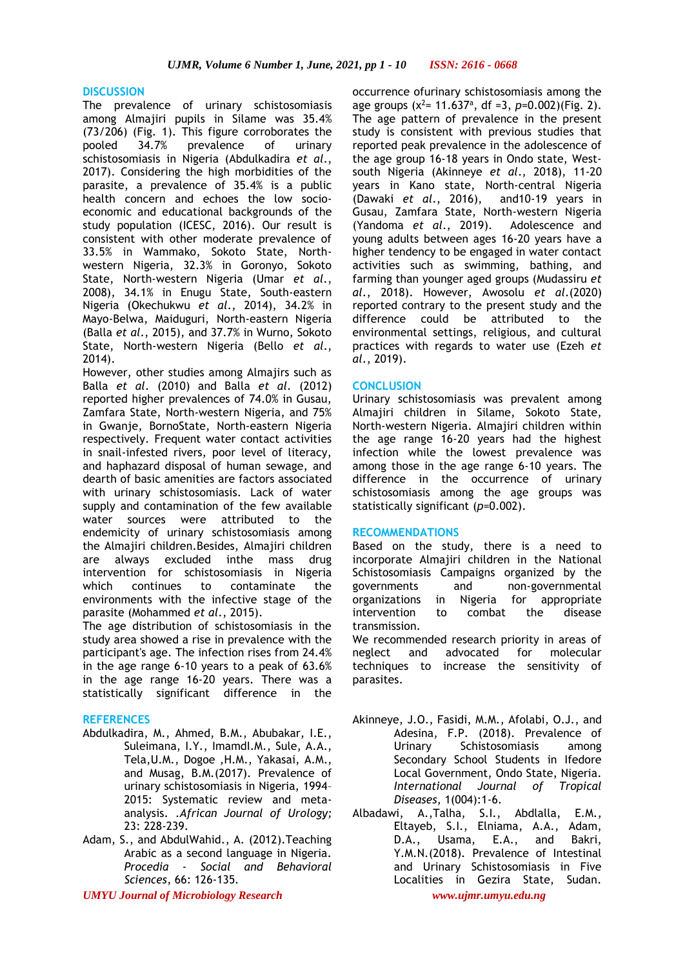# **DISCUSSION**

The prevalence of urinary schistosomiasis among Almajiri pupils in Silame was 35.4% (73/206) (Fig. 1). This figure corroborates the pooled 34.7% prevalence of urinary schistosomiasis in Nigeria (Abdulkadira *et al*., 2017). Considering the high morbidities of the parasite, a prevalence of 35.4% is a public health concern and echoes the low socioeconomic and educational backgrounds of the study population (ICESC, 2016). Our result is consistent with other moderate prevalence of 33.5% in Wammako, Sokoto State, Northwestern Nigeria, 32.3% in Goronyo, Sokoto State, North-western Nigeria (Umar *et al*., 2008), 34.1% in Enugu State, South-eastern Nigeria (Okechukwu *et al*., 2014), 34.2% in Mayo-Belwa, Maiduguri, North-eastern Nigeria (Balla *et al*., 2015), and 37.7% in Wurno, Sokoto State, North-western Nigeria (Bello *et al*., 2014).

However, other studies among Almajirs such as Balla *et al*. (2010) and Balla *et al*. (2012) reported higher prevalences of 74.0% in Gusau, Zamfara State, North-western Nigeria, and 75% in Gwanje, BornoState, North-eastern Nigeria respectively. Frequent water contact activities in snail-infested rivers, poor level of literacy, and haphazard disposal of human sewage, and dearth of basic amenities are factors associated with urinary schistosomiasis. Lack of water supply and contamination of the few available water sources were attributed to the endemicity of urinary schistosomiasis among the Almajiri children.Besides, Almajiri children are always excluded inthe mass drug intervention for schistosomiasis in Nigeria which continues to contaminate the environments with the infective stage of the parasite (Mohammed *et al*., 2015).

The age distribution of schistosomiasis in the study area showed a rise in prevalence with the participant's age. The infection rises from 24.4% in the age range 6-10 years to a peak of 63.6% in the age range 16-20 years. There was a statistically significant difference in the

# **REFERENCES**

- Abdulkadira, M., Ahmed, B.M., Abubakar, I.E., Suleimana, I.Y., ImamdI.M., Sule, A.A., Tela,U.M., Dogoe ,H.M., Yakasai, A.M., and Musag, B.M.(2017). Prevalence of urinary schistosomiasis in Nigeria, 1994– 2015: Systematic review and metaanalysis. .*African Journal of Urology;*  23: 228-239.
- Adam, S., and AbdulWahid., A. (2012).Teaching Arabic as a second language in Nigeria. *Procedia - Social and Behavioral Sciences*, 66: 126-135*.*

*UMYU Journal of Microbiology Research www.ujmr.umyu.edu.ng*

occurrence ofurinary schistosomiasis among the age groups  $(x^2 = 11.637^{\circ}, df = 3, p=0.002)$  (Fig. 2). The age pattern of prevalence in the present study is consistent with previous studies that reported peak prevalence in the adolescence of the age group 16-18 years in Ondo state, Westsouth Nigeria (Akinneye *et al*., 2018), 11-20 years in Kano state, North-central Nigeria (Dawaki *et al*., 2016), and10-19 years in Gusau, Zamfara State, North-western Nigeria (Yandoma *et al*., 2019). Adolescence and young adults between ages 16-20 years have a higher tendency to be engaged in water contact activities such as swimming, bathing, and farming than younger aged groups (Mudassiru *et al*., 2018). However, Awosolu *et al*.(2020) reported contrary to the present study and the difference could be attributed to the environmental settings, religious, and cultural practices with regards to water use (Ezeh *et al*., 2019).

# **CONCLUSION**

Urinary schistosomiasis was prevalent among Almajiri children in Silame, Sokoto State, North-western Nigeria. Almajiri children within the age range 16-20 years had the highest infection while the lowest prevalence was among those in the age range 6-10 years. The difference in the occurrence of urinary schistosomiasis among the age groups was statistically significant (*p*=0.002).

# **RECOMMENDATIONS**

Based on the study, there is a need to incorporate Almajiri children in the National Schistosomiasis Campaigns organized by the governments and non-governmental organizations in Nigeria for appropriate intervention to combat the disease transmission.

We recommended research priority in areas of neglect and advocated for molecular techniques to increase the sensitivity of parasites.

- Akinneye, J.O., Fasidi, M.M., Afolabi, O.J., and Adesina, F.P. (2018). Prevalence of Urinary Schistosomiasis among Secondary School Students in Ifedore Local Government, Ondo State, Nigeria*. International Journal of Tropical Diseases*, 1(004):1-6.
- Albadawi, A.,Talha, S.I., Abdlalla, E.M., Eltayeb, S.I., Elniama, A.A., Adam, D.A., Usama, E.A., and Bakri, Y.M.N.(2018). Prevalence of Intestinal and Urinary Schistosomiasis in Five Localities in Gezira State, Sudan.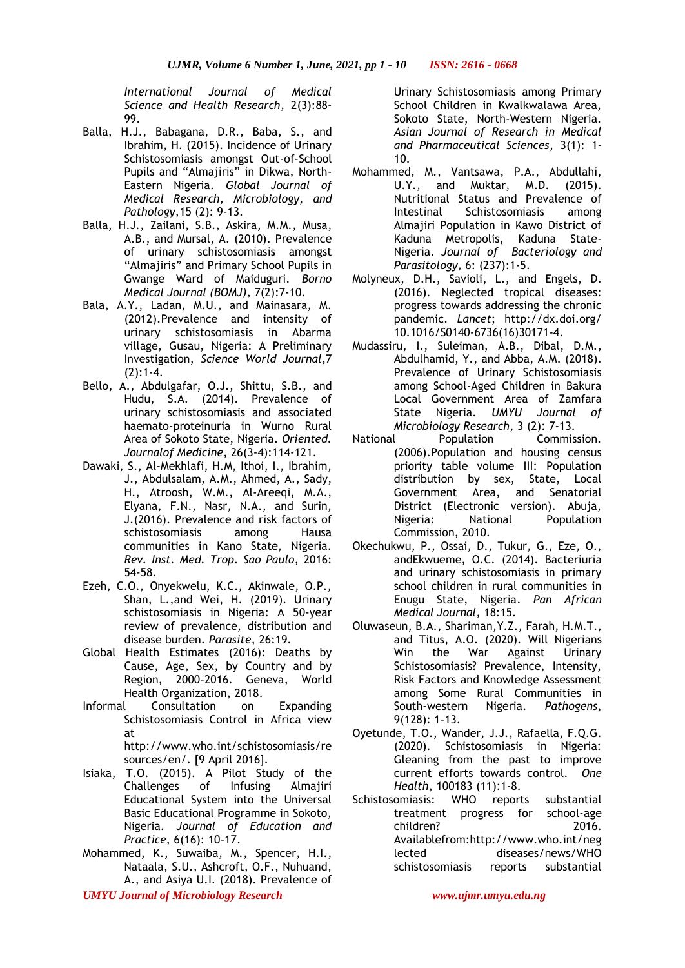*International Journal of Medical Science and Health Research*, 2(3):88- 99.

- Balla, H.J., Babagana, D.R., Baba, S., and Ibrahim, H. (2015). Incidence of Urinary Schistosomiasis amongst Out-of-School Pupils and "Almajiris" in Dikwa, North-Eastern Nigeria. *Global Journal of Medical Research, Microbiology, and Pathology*,15 (2): 9-13*.*
- Balla, H.J., Zailani, S.B., Askira, M.M., Musa, A.B., and Mursal, A. (2010). Prevalence of urinary schistosomiasis amongst "Almajiris" and Primary School Pupils in Gwange Ward of Maiduguri*. Borno Medical Journal (BOMJ)*, 7(2):7-10.
- Bala, A.Y., Ladan, M.U., and Mainasara, M. (2012).Prevalence and intensity of urinary schistosomiasis in Abarma village, Gusau, Nigeria: A Preliminary Investigation, *Science World Journal,*7 (2):1-4.
- Bello, A., Abdulgafar, O.J., Shittu, S.B., and Hudu, S.A. (2014). Prevalence of urinary schistosomiasis and associated haemato-proteinuria in Wurno Rural Area of Sokoto State, Nigeria. *Oriented. Journalof Medicine*, 26(3-4):114-121.
- Dawaki, S., Al-Mekhlafi, H.M, Ithoi, I., Ibrahim, J., Abdulsalam, A.M., Ahmed, A., Sady, H., Atroosh, W.M., Al-Areeqi, M.A., Elyana, F.N., Nasr, N.A., and Surin, J.(2016). Prevalence and risk factors of schistosomiasis among Hausa communities in Kano State, Nigeria. *Rev. Inst. Med. Trop. Sao Paulo*, 2016: 54-58*.*
- Ezeh, C.O., Onyekwelu, K.C., Akinwale, O.P., Shan, L.,and Wei, H. (2019). Urinary schistosomiasis in Nigeria: A 50-year review of prevalence, distribution and disease burden. *Parasite*, 26:19.
- Global Health Estimates (2016): Deaths by Cause, Age, Sex, by Country and by Region, 2000-2016. Geneva, World Health Organization, 2018.
- Informal Consultation on Expanding Schistosomiasis Control in Africa view at http://www.who.int/schistosomiasis/re

sources/en/. [9 April 2016].

- Isiaka, T.O. (2015). A Pilot Study of the Challenges of Infusing Almajiri Educational System into the Universal Basic Educational Programme in Sokoto, Nigeria. *Journal of Education and Practice*, 6(16): 10-17.
- Mohammed, K., Suwaiba, M., Spencer, H.I., Nataala, S.U., Ashcroft, O.F., Nuhuand, A., and Asiya U.I. (2018). Prevalence of
- *UMYU Journal of Microbiology Research www.ujmr.umyu.edu.ng*

Urinary Schistosomiasis among Primary School Children in Kwalkwalawa Area, Sokoto State, North-Western Nigeria. *Asian Journal of Research in Medical and Pharmaceutical Sciences*, 3(1): 1- 10.

- Mohammed, M., Vantsawa, P.A., Abdullahi, U.Y., and Muktar, M.D. (2015). Nutritional Status and Prevalence of Intestinal Schistosomiasis among Almajiri Population in Kawo District of Kaduna Metropolis, Kaduna State-Nigeria. *Journal of Bacteriology and Parasitology,* 6: (237):1-5.
- Molyneux, D.H., Savioli, L., and Engels, D. (2016). Neglected tropical diseases: progress towards addressing the chronic pandemic. *Lancet*; http://dx.doi.org/ 10.1016/S0140-6736(16)30171-4.
- Mudassiru, I., Suleiman, A.B., Dibal, D.M., Abdulhamid, Y., and Abba, A.M. (2018). Prevalence of Urinary Schistosomiasis among School-Aged Children in Bakura Local Government Area of Zamfara State Nigeria. *UMYU Journal of Microbiology Research*, 3 (2): 7-13.
- National Population Commission. (2006).Population and housing census priority table volume III: Population distribution by sex, State, Local Government Area, and Senatorial District (Electronic version). Abuja, Nigeria: National Population Commission, 2010.
- Okechukwu, P., Ossai, D., Tukur, G., Eze, O., andEkwueme, O.C. (2014). Bacteriuria and urinary schistosomiasis in primary school children in rural communities in Enugu State, Nigeria. *Pan African Medical Journal,* 18:15.
- Oluwaseun, B.A., Shariman,Y.Z., Farah, H.M.T., and Titus, A.O. (2020). Will Nigerians Win the War Against Urinary Schistosomiasis? Prevalence, Intensity, Risk Factors and Knowledge Assessment among Some Rural Communities in South-western Nigeria. *Pathogens*, 9(128): 1-13.
- Oyetunde, T.O., Wander, J.J., Rafaella, F.Q.G. (2020). Schistosomiasis in Nigeria: Gleaning from the past to improve current efforts towards control. *One Health*, 100183 (11):1-8.
- Schistosomiasis: WHO reports substantial treatment progress for school-age children? 2016. Availablefrom:http://www.who.int/neg lected diseases/news/WHO schistosomiasis reports substantial